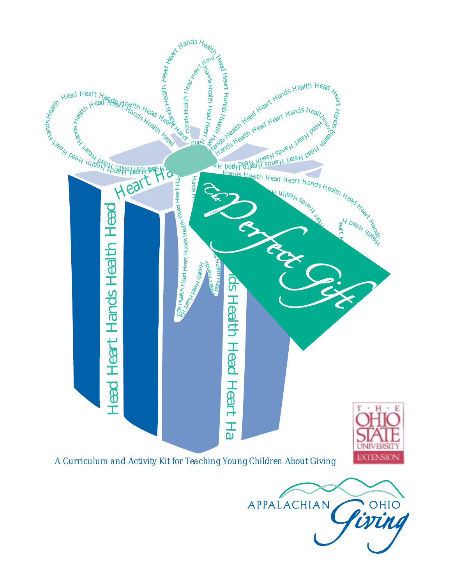

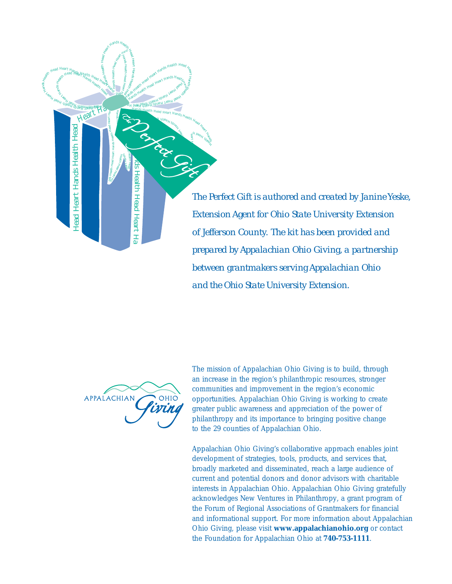

*The Perfect Gift is authored and created by Janine Yeske, Extension Agent for Ohio State University Extension of Jefferson County. The kit has been provided and prepared by Appalachian Ohio Giving, a partnership between grantmakers serving Appalachian Ohio and the Ohio State University Extension.*



The mission of Appalachian Ohio Giving is to build, through an increase in the region's philanthropic resources, stronger communities and improvement in the region's economic opportunities. Appalachian Ohio Giving is working to create greater public awareness and appreciation of the power of philanthropy and its importance to bringing positive change to the 29 counties of Appalachian Ohio.

Appalachian Ohio Giving's collaborative approach enables joint development of strategies, tools, products, and services that, broadly marketed and disseminated, reach a large audience of current and potential donors and donor advisors with charitable interests in Appalachian Ohio. Appalachian Ohio Giving gratefully acknowledges New Ventures in Philanthropy, a grant program of the Forum of Regional Associations of Grantmakers for financial and informational support. For more information about Appalachian Ohio Giving, please visit **www.appalachianohio.org** or contact the Foundation for Appalachian Ohio at **740-753-1111**.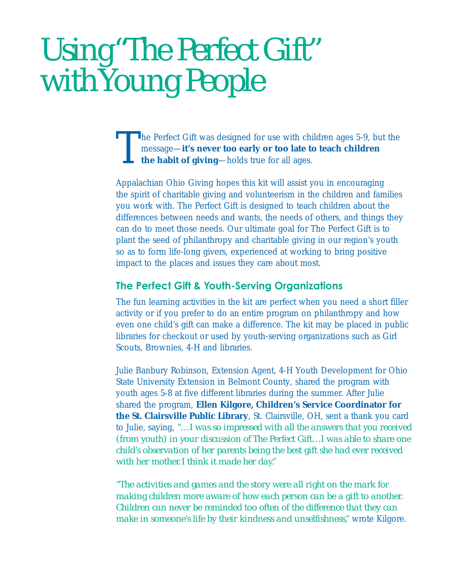# *Using "The Perfect Gift" with Young People*

The Perfect Gift was designed for use with children ages 5-9, but the message—**it's never too early or too late to teach children the habit of giving**—holds true for all ages.

Appalachian Ohio Giving hopes this kit will assist you in encouraging the spirit of charitable giving and volunteerism in the children and families you work with. The Perfect Gift is designed to teach children about the differences between needs and wants, the needs of others, and things they can do to meet those needs. Our ultimate goal for The Perfect Gift is to plant the seed of philanthropy and charitable giving in our region's youth so as to form life-long givers, experienced at working to bring positive impact to the places and issues they care about most.

#### **The Perfect Gift & Youth-Serving Organizations**

The fun learning activities in the kit are perfect when you need a short filler activity or if you prefer to do an entire program on philanthropy and how even one child's gift can make a difference. The kit may be placed in public libraries for checkout or used by youth-serving organizations such as Girl Scouts, Brownies, 4-H and libraries.

Julie Banbury Robinson, Extension Agent, 4-H Youth Development for Ohio State University Extension in Belmont County, shared the program with youth ages 5-8 at five different libraries during the summer. After Julie shared the program, **Ellen Kilgore, Children's Service Coordinator for the St. Clairsville Public Library**, St. Clairsville, OH, sent a thank you card to Julie, saying, *"…I was so impressed with all the answers that you received (from youth) in your discussion of The Perfect Gift…I was able to share one child's observation of her parents being the best gift she had ever received with her mother. I think it made her day."*

*"The activities and games and the story were all right on the mark for making children more aware of how each person can be a gift to another. Children can never be reminded too often of the difference that they can make in someone's life by their kindness and unselfishness,"* wrote Kilgore.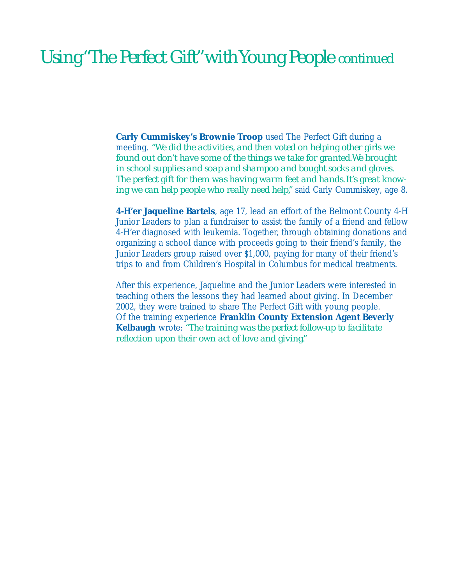### *Using "The Perfect Gift" with Young People continued*

**Carly Cummiskey's Brownie Troop** used The Perfect Gift during a meeting. *"We did the activities, and then voted on helping other girls we found out don't have some of the things we take for granted. We brought in school supplies and soap and shampoo and bought socks and gloves. The perfect gift for them was having warm feet and hands. It's great knowing we can help people who really need help,"* said Carly Cummiskey, age 8.

**4-H'er Jaqueline Bartels**, age 17, lead an effort of the Belmont County 4-H Junior Leaders to plan a fundraiser to assist the family of a friend and fellow 4-H'er diagnosed with leukemia. Together, through obtaining donations and organizing a school dance with proceeds going to their friend's family, the Junior Leaders group raised over \$1,000, paying for many of their friend's trips to and from Children's Hospital in Columbus for medical treatments.

After this experience, Jaqueline and the Junior Leaders were interested in teaching others the lessons they had learned about giving. In December 2002, they were trained to share The Perfect Gift with young people. Of the training experience **Franklin County Extension Agent Beverly Kelbaugh** wrote: *"The training was the perfect follow-up to facilitate reflection upon their own act of love and giving."*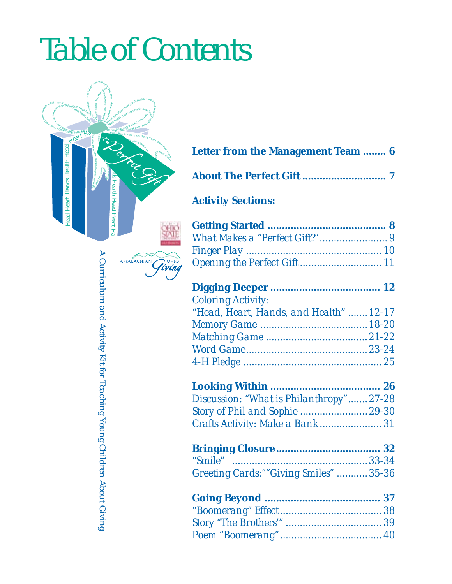# *Table of Contents*



|  | <b>Letter from the Management Team  6</b> |  |
|--|-------------------------------------------|--|
|  |                                           |  |

|--|--|--|

### **Activity Sections:**

|--|--|--|

| <b>Coloring Activity:</b>              |  |
|----------------------------------------|--|
| "Head, Heart, Hands, and Health" 12-17 |  |
|                                        |  |
|                                        |  |
|                                        |  |
|                                        |  |

### **Looking Within ...................................... 26**

*Discussion: "What is Philanthropy".......27-28 Story of Phil and Sophie ........................29-30 Crafts Activity: Make a Bank ...................... 31*

| Greeting Cards:""Giving Smiles" 35-36 |  |
|---------------------------------------|--|

A Curriculum and Activity Kit for Teaching Young Children About Giving *A Curriculum and Activity Kit for Teaching Young Children About Giving*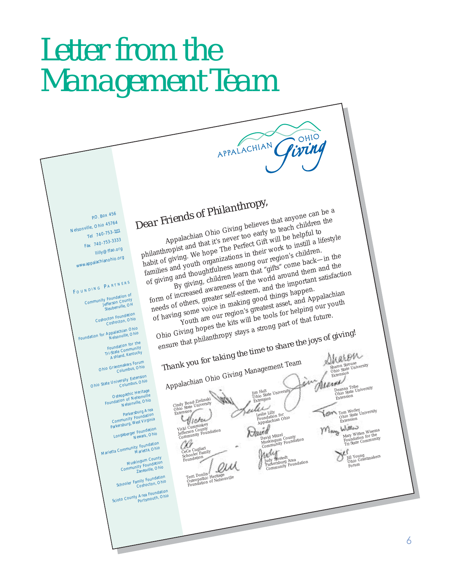# *Letter from the Management Team*

# *Dear Friends of Philanthropy,*

APPALACHIAN

P.O. Box 456 Nelsonville, Ohio 45764 Tel 740-753-<sup>1111</sup> Fax 740-753-<sup>3333</sup> llilly@ffao.org www.appalachianohio.org

 $F$  OUNDING PARTNERS

nunity Foundation of Jefferson County Steubenville, OH

Coshocton Foundation octon roundation<br>Coshocton, Ohio

Foundation for Appalachian Ohio Nelsonville, Ohio

Foundation for the Foundation<br>Tri-State Community<br>Ashland, Kentucky

Ohio Grantmakers Forum Columbus, Ohio

Ohio State University Extension Columbus, Ohio

Osteopathic Heritage<br>Foundation of Nelsonville, Ohio<br>Nelsonville, Ohio

Parkersburg Area<br>Community Foundation<br>Parkersburg, West Virginia

Longaberger Foundation

Marietta Community Foundation Marietta, Ohio

Muskingum County Community Foundation Zanesville, Ohio

Schooler Family Foundation<br>Coshocton, Ohio

Scioto County Area Foundation<br>Portsmouth, Ohio

Appalachian Ohio Giving believes that anyone can be a philanthropist and that it's never too early to teach children the habit of giving. We hope The Perfect Gift will be helpful to families and youth organizations in their work to instill a lifestyle families and youth organizations in their of giving and thoughtfulness among our region's children. By giving, children learn that "gifts" come back—in the

form of increased awareness of the world around them and the needs of others, greater self-esteem, and the important satisfaction of having some voice in making good things happen. Youth are our region's greatest asset, and Appalachian Ohio Giving hopes the kits will be tools for helping our youth ensure that philanthropy stays a strong part of that future.

hio Giving normality of stays a subsequent the *joys of giving!*<br> **Thank you for taking the time to share the** *joys* **of giving!**<br> **Thank you for taking the time to share the** *joys* **of giving space.** 

Appalachian Ohio Giving Management Team

Cindy Bond-Zielinski Ohio State University Extension

Vicki Cummiskey Jefferson County Community Foundation

CeCe Cugliari Schooler Family Foundation

Terri Donlin Osteopathic Heritage Foundation of Nelsonville

 $\mathcal{Q}$ 

OHIO

iring

Leslie Lilly Foundation for Appalachian Ohio

Jim Helt Ohio State University Extension

David Mitzel Muskingum County Community Foundation

Judy Sjostedt Parkersburg Area Community Foundation

Sharon Strouse<br>Ohio State University<br>Extension

Deanna Tribe Ohio State University Extension Tom Worley Ohio State University Extension

lang Mary Witten Wisema<br>Foundation for the<br>Tri-State Community

Jill Young<br>Ohio Grantmakers<br>Forum

6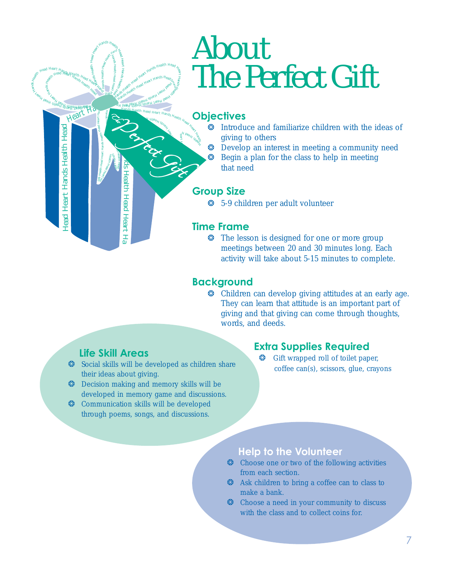# *About The Perfect Gift*

### Hands Health Head Heart Hands Health Head Health **Objectives**

H Peak Kingd H art H

Health Head Head Head Head

Hand

- ❂ Introduce and familiarize children with the ideas of giving to others
- ❂ Develop an interest in meeting a community need
- ❂ Begin a plan for the class to help in meeting that need

#### **Group Size**

❂ 5-9 children per adult volunteer

#### **Time Frame**

❂ The lesson is designed for one or more group meetings between 20 and 30 minutes long. Each activity will take about 5-15 minutes to complete.

#### **Background**

❂ Children can develop giving attitudes at an early age. They can learn that attitude is an important part of giving and that giving can come through thoughts, words, and deeds.

#### **Life Skill Areas**

**ED** H

Hands Health Head Heart Hand H s ealth **Mand** Heart

 $\begin{split} \oint_{\mathcal{B}}\sum_{\substack{d\text{ odd} \\ \text{with the limit limit} \\ d\text{ times}}} \text{Hence} & H\text{ and } \text{Hence} & H\text{ and} \\ \prod_{\substack{d\text{ odd} \\ \text{ odd}}} \text{Hence} & H\text{ and } \text{Hence} & H\text{ and } \text{Hence} \\ \text{Hence} & H\text{ and } \text{Hence} & H\text{ and } \text{Hence} \\ \text{Hence} & H\text{ and } \text{Hence} & H\text{ and } \text{Hence} \\ \text{Hence} & H\text{ and } \text{Hence} & H\text{ and } \text{Hence}$  $\frac{\dot{M}_{\rm{H}}}{\dot{M}_{\rm{BH}}}$ hands Health  $\frac{H_{\rm{H}}}{\dot{M}_{\rm{BH}}}$ 

<sup>H</sup>an<sup>d</sup>

pur

HanHealth

 $\frac{106}{3}$  Health Head Heart Hands Health Nead Heart Han

H an  $\bullet$ s Health

 $\sum_{\mu}$ 

Hands Health Heart Hands Health Head Against Health Heart Hands Heart Hands Heart Hands Heart Hands Heart Hands Heart Hands Health Head Heart Hands Health<br>Hands Health Head Heart Hands Heart Hands<br>Hands Health Hear Heart Heart Hands

Head H eart

Ha

Head He

art

Hands Health He

ad

Head Heart Hand Health Health Head Health Health Health Health Health Health Health Health Health Health Health Health Health Health Health Health Health Health Health Health Health Health Health Health Health Health Healt

- ❂ Social skills will be developed as children share their ideas about giving.
- ❂ Decision making and memory skills will be developed in memory game and discussions.
- ❂ Communication skills will be developed through poems, songs, and discussions.

#### **Extra Supplies Required**

Gift wrapped roll of toilet paper, coffee can(s), scissors, glue, crayons

#### **Help to the Volunteer**

- ❂ Choose one or two of the following activities from each section.
- ❂ Ask children to bring a coffee can to class to make a bank.
- ❂ Choose a need in your community to discuss with the class and to collect coins for.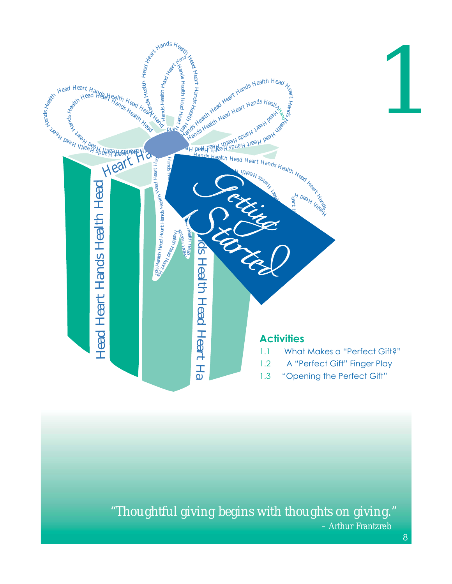

*"Thoughtful giving begins with thoughts on giving."* – Arthur Frantzreb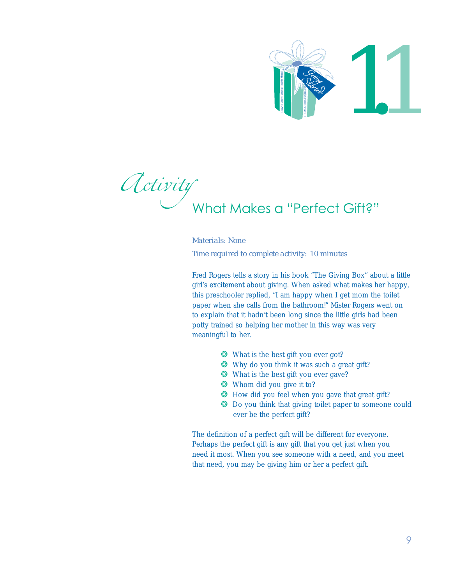

Activity<br>What Makes a "Perfect Gift?"

#### *Materials: None Time required to complete activity: 10 minutes*

Fred Rogers tells a story in his book "The Giving Box" about a little girl's excitement about giving. When asked what makes her happy, this preschooler replied, "I am happy when I get mom the toilet paper when she calls from the bathroom!" Mister Rogers went on to explain that it hadn't been long since the little girls had been potty trained so helping her mother in this way was very meaningful to her. Materials: None<br>
Time required to complete activity: 10 minutes<br>
Fred Rogers tells a story in his book "The Giving Box"<br>
girl's excitement about giving. When asked what make<br>
paper when she calls from the bathroom!" Mister

- ❂ What is the best gift you ever got?
- ❂ Why do you think it was such a great gift?
- ❂ What is the best gift you ever gave?
- ❂ Whom did you give it to?
- ❂ How did you feel when you gave that great gift?
- ❂ Do you think that giving toilet paper to someone could ever be the perfect gift?

The definition of a perfect gift will be different for everyone. Perhaps the perfect gift is any gift that you get just when you need it most. When you see someone with a need, and you meet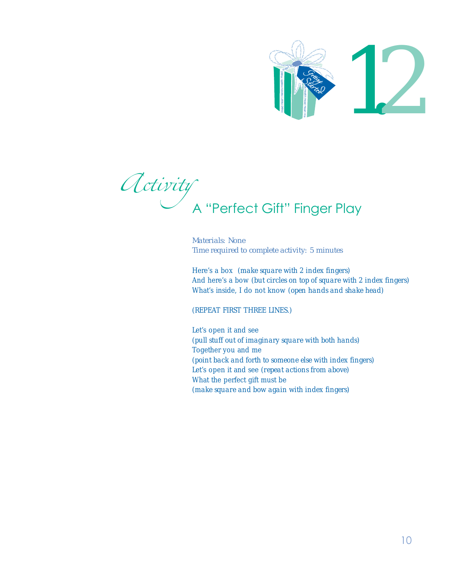

Activity<br>A "Perfect Gift" Finger Play

*Materials: None Time required to complete activity: 5 minutes*

Here's a box (*make square with 2 index fingers*) And here's a bow (*but circles on top of square with 2 index fingers*) What's inside, I do not know (*open hands and shake head*)

(REPEAT FIRST THREE LINES.)

Let's open it and see (*pull stuff out of imaginary square with both hands*) Together you and me (*point back and forth to someone else with index fingers*) Let's open it and see (*repeat actions from above*) What the perfect gift must be (*materials: None*<br> *Materials: None*<br> *Materials: None*<br> *Here's a box (make square with 2 index fingers)*<br>
And here's a box (*make square with 2 index fingers*)<br>
And here's a bow (*but circles on top of square with Hand*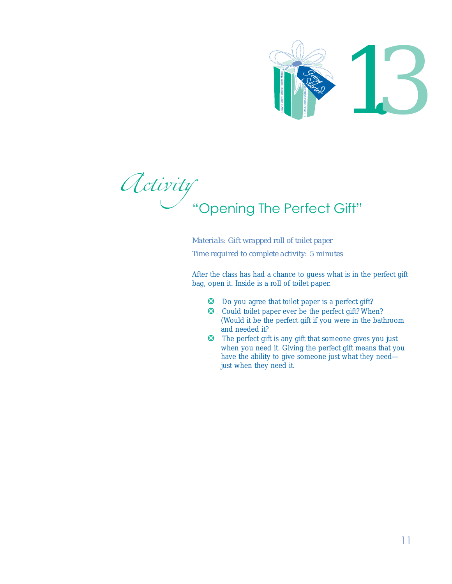

Activity<br>"Opening The Perfect Gift" Finance School and The Perfect of the School and The Perfect of the perfect of the perfect and needed it?<br>The perfect gift is any when you need it. Giving Hand Head Head Head Head Head Head Health Hand Head Head Health Han

*Materials: Gift wrapped roll of toilet paper Time required to complete activity: 5 minutes*

After the class has had a chance to guess what is in the perfect gift bag, open it. Inside is a roll of toilet paper.

- ❂ Do you agree that toilet paper is a perfect gift?
- ❂ Could toilet paper ever be the perfect gift? When? (Would it be the perfect gift if you were in the bathroom and needed it?
- ❂ The perfect gift is any gift that someone gives you just when you need it. Giving the perfect gift means that you have the ability to give someone just what they need—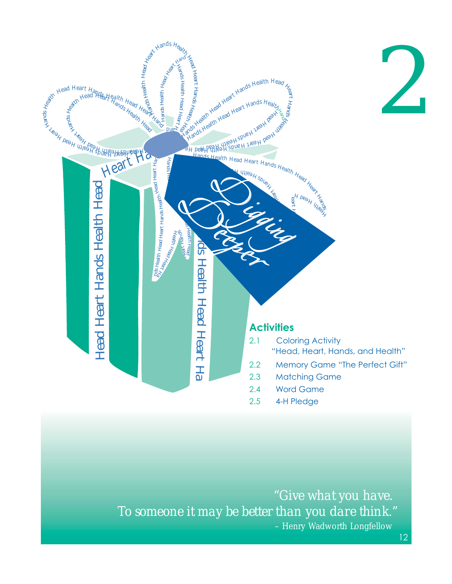

 *"Give what you have. To someone it may be better than you dare think."* – Henry Wadworth Longfellow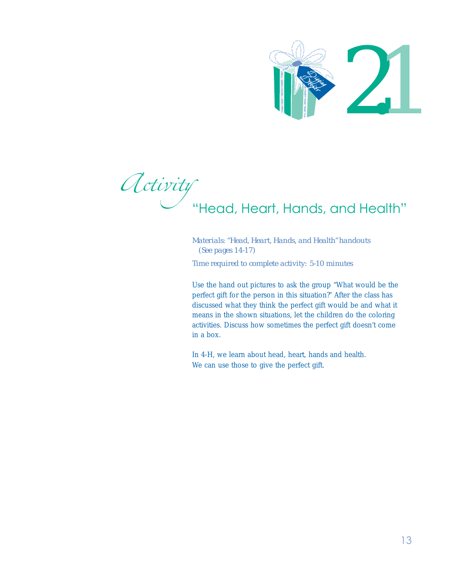

Activity<br>"Head, Heart, Hands, and Health"

*Materials: "Head, Heart, Hands, and Health" handouts (See pages 14-17) Time required to complete activity: 5-10 minutes*

Use the hand out pictures to ask the group "What would be the perfect gift for the person in this situation?" After the class has discussed what they think the perfect gift would be and what it means in the shown situations, let the children do the coloring activities. Discuss how sometimes the perfect gift doesn't come in a box. We can use the perfect gift.<br>
We can use the perfect gift of the perfect gift.<br>
We can use the perfect gift for the person in this situation<br>
discussed what they think the perfect gift<br>
means in the shown situations, let t

In 4-H, we learn about head, heart, hands and health.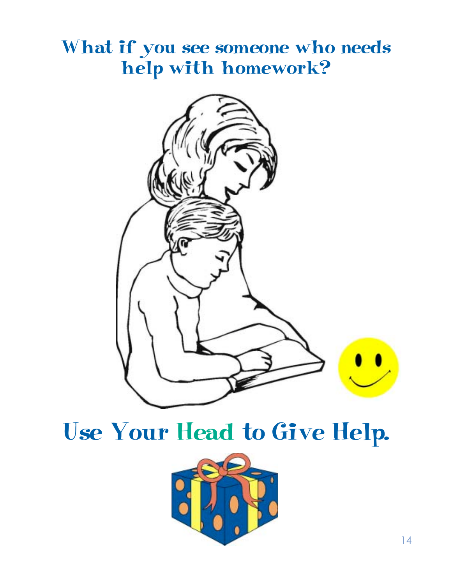### What if you see someone who needs help with homework?



### Use Your Head to Give Help.

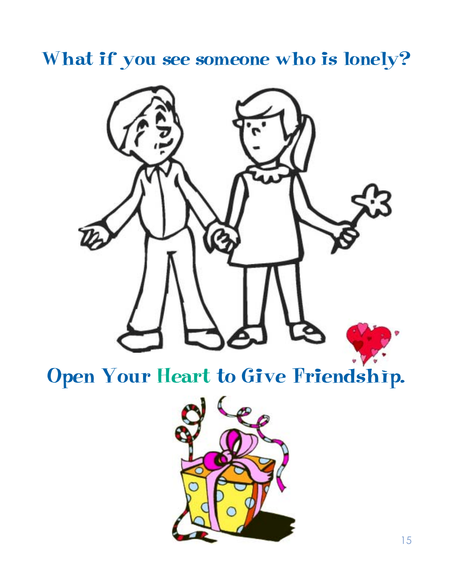### What if you see someone who is lonely?



## Open Your Heart to Give Friendship.

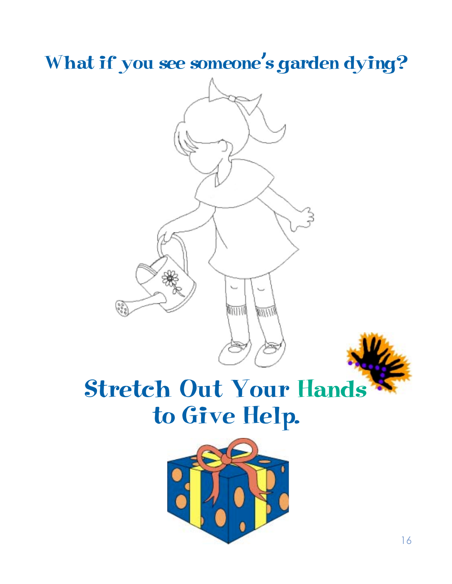What if you see someone's garden dying?





## Stretch Out Your Hands to Give Help.

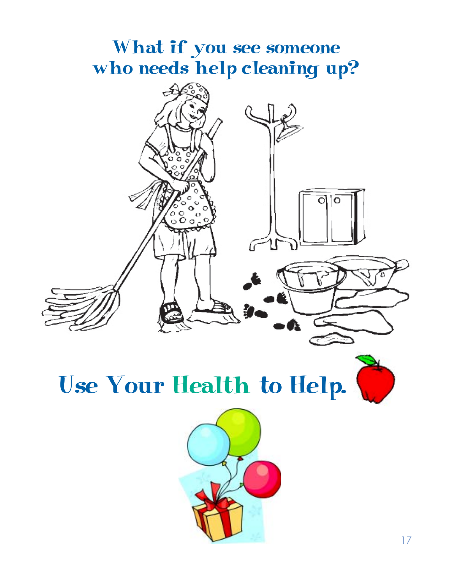### What if you see someone who needs help cleaning up?





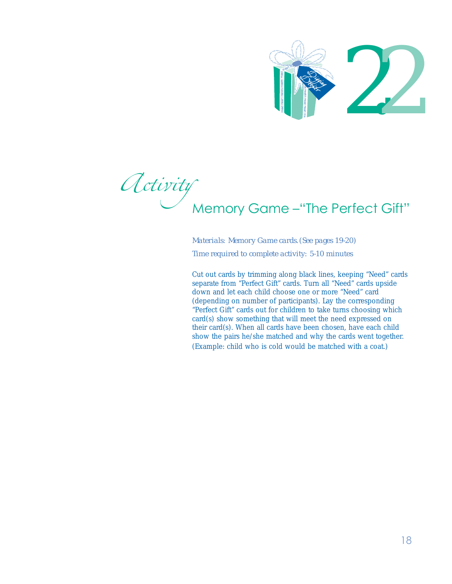

Activity<br>Memory Game – "The Perfect Gift"

*Materials: Memory Game cards. (See pages 19-20) Time required to complete activity: 5-10 minutes*

Cut out cards by trimming along black lines, keeping "Need" cards separate from "Perfect Gift" cards. Turn all "Need" cards upside down and let each child choose one or more "Need" card (depending on number of participants). Lay the corresponding "Perfect Gift" cards out for children to take turns choosing which card(s) show something that will meet the need expressed on their card(s). When all cards have been chosen, have each child show the pairs he/she matched and why the cards went together. Memory Game -"The Perfect C<br>
Materials: Memory Game cards. (See pages 19-20)<br>
Time required to complete activity: 5-10 minutes<br>
Cut out cards by trimming along black lines, keeping "Need"<br>
separate from "Perfect Gift" card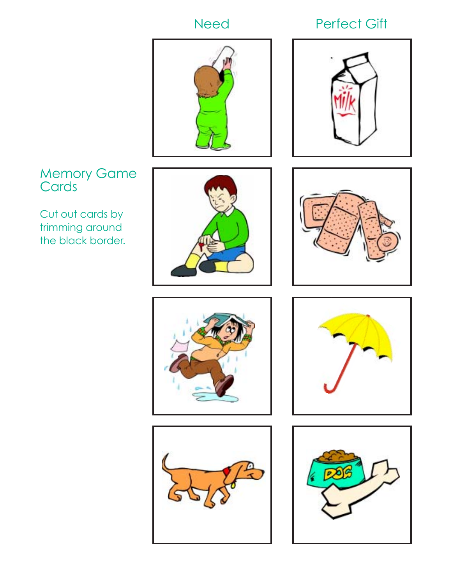### Need Perfect Gift





### Memory Game **Cards**

Cut out cards by trimming around the black border.











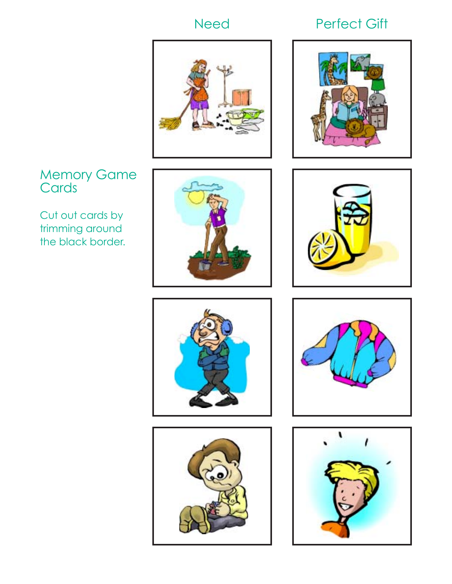### Need Perfect Gift



### Memory Game **Cards**

Cut out cards by trimming around the black border.













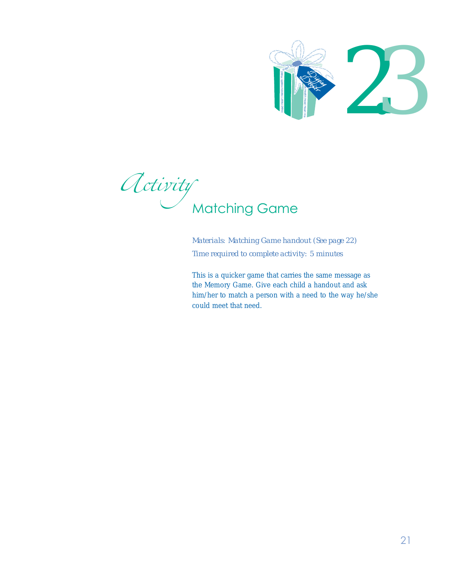

Activity<br>Matching Game

*Materials: Matching Game handout (See page 22) Time required to complete activity: 5 minutes*

This is a quicker game that carries the same message as the Memory Game. Give each child a handout and ask him/her to match a person with a need to the way he/she could meet that need.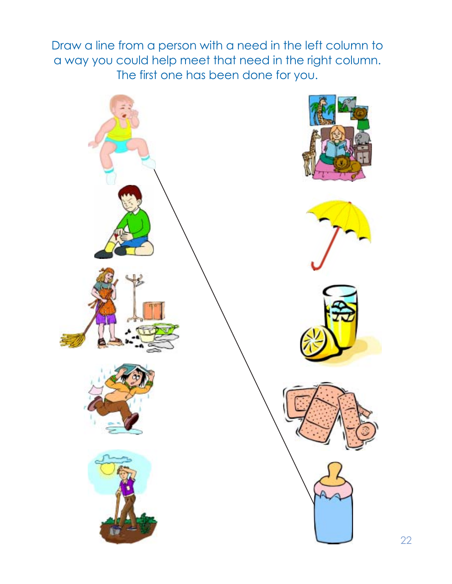Draw a line from a person with a need in the left column to a way you could help meet that need in the right column. The first one has been done for you.

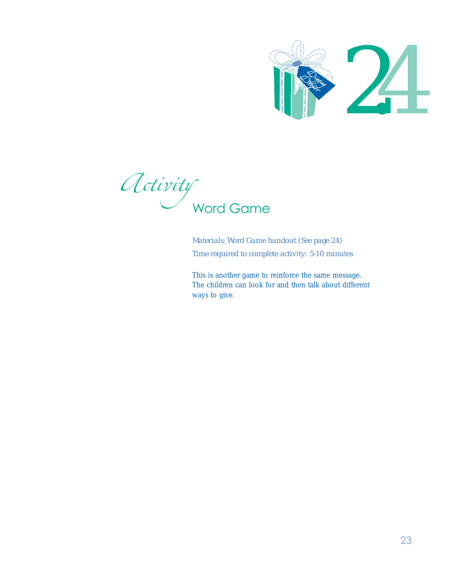

Activity<br>Word Game

*Materials: Word Game handout (See page 24) Time required to complete activity: 5-10 minutes*

This is another game to reinforce the same message. The children can look for and then talk about different ways to give.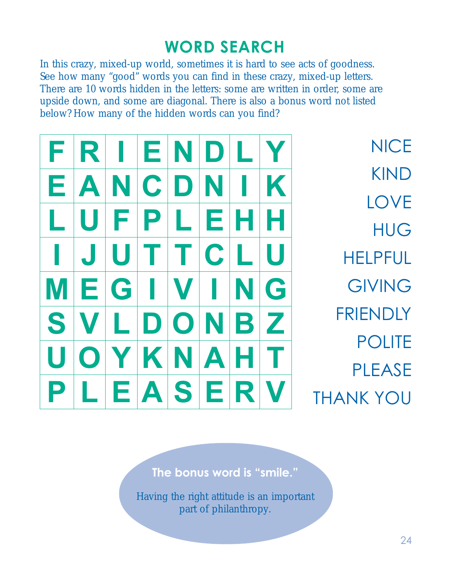### **WORD SEARCH**

In this crazy, mixed-up world, sometimes it is hard to see acts of goodness. See how many "good" words you can find in these crazy, mixed-up letters. There are 10 words hidden in the letters: some are written in order, some are upside down, and some are diagonal. There is also a bonus word not listed below? How many of the hidden words can you find?

| F | $\mathbf{R}^+$           |   | EI             | INI                 | $\mathbf{D}$ |     |   | <b>NICE</b>      |
|---|--------------------------|---|----------------|---------------------|--------------|-----|---|------------------|
| Е | A                        |   | $\overline{C}$ | $\ddot{\mathbf{C}}$ |              |     |   | <b>KIND</b>      |
|   |                          |   |                |                     |              |     |   | <b>LOVE</b>      |
|   |                          |   | P              |                     | E.           |     |   | <b>HUG</b>       |
|   | $\overline{\phantom{a}}$ |   |                |                     | C            |     |   | <b>HELPFUL</b>   |
|   | E                        | G |                |                     |              |     | G | <b>GIVING</b>    |
| S |                          |   | $\Box$         | $ \mathbf{O} $      | N            | B   | Z | <b>FRIENDLY</b>  |
|   |                          |   |                |                     |              |     |   | <b>POLITE</b>    |
|   |                          |   | K              | INI                 | $\mathbf{A}$ |     |   | <b>PLEASE</b>    |
|   |                          |   |                | EAS                 |              | EIR |   | <b>THANK YOU</b> |

**The bonus word is "smile."**

Having the right attitude is an important part of philanthropy.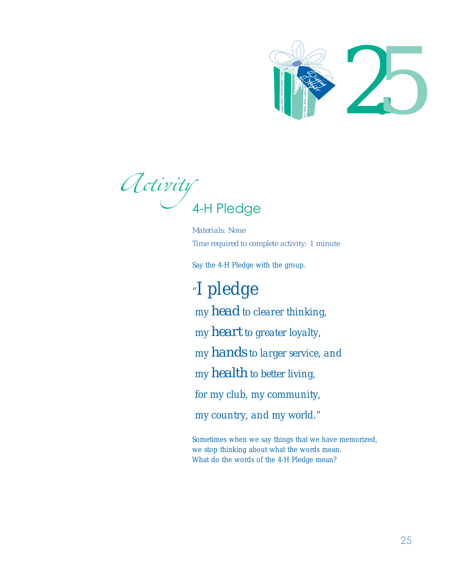

Activity<br>4-H Pledge

*Materials: None Time required to complete activity: 1 minute*

Say the 4-H Pledge with the group.

*"I pledge my head to clearer thinking, my heart to greater loyalty, my hands to larger service, and my health to better living, for my club, my community, my country, and my world."* What do the words of the 4-H Pledge mean? Head Heart Hands Health Head Heart Ha

Sometimes when we say things that we have memorized, we stop thinking about what the words mean.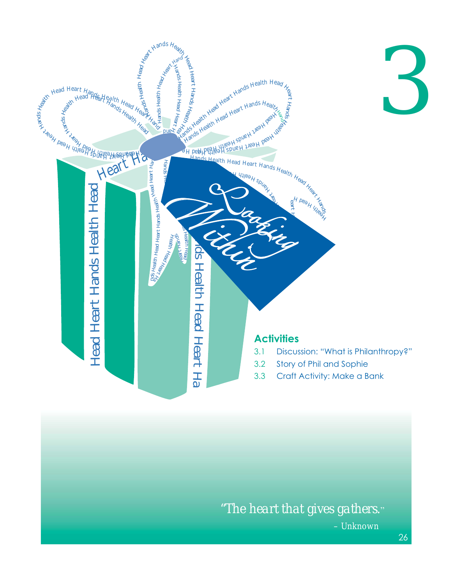

 *"The heart that gives gathers."* – Unknown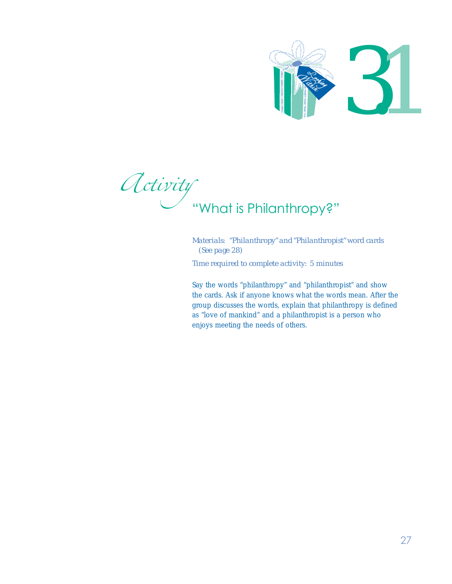

Activity<br>"What is Philanthropy?"

*Materials: "Philanthropy" and "Philanthropist" word cards (See page 28) Time required to complete activity: 5 minutes*

Say the words "philanthropy" and "philanthropist" and show the cards. Ask if anyone knows what the words mean. After the group discusses the words, explain that philanthropy is defined as "love of mankind" and a philanthropist is a person who Englished the needs of others.<br>
What is Philanthropy" and "Philanth (See page 28)<br>
Time required to complete activity:<br>
Say the words "philanthropy" and "The cards. Ask if anyone knows what<br>
group discusses the words, expl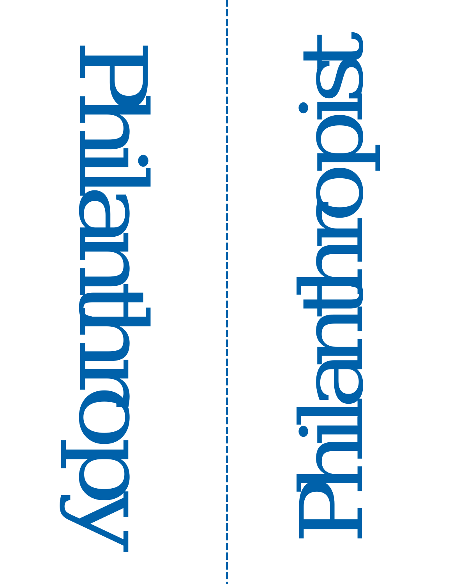

Philanthropist  $\overline{\mathbf{C}}$ 

28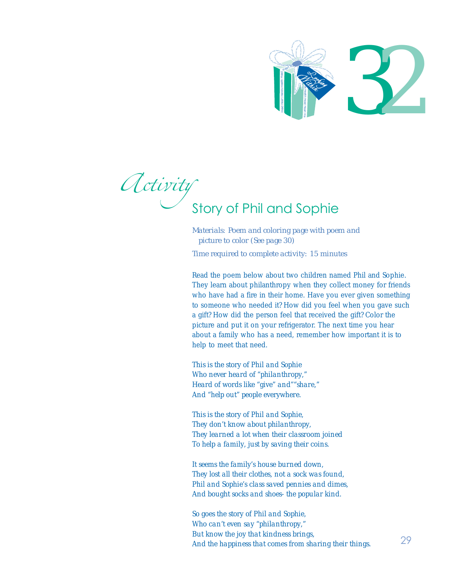

*Activity*<br>Story of Phil and Sophie

*Materials: Poem and coloring page with poem and picture to color (See page 30) Time required to complete activity: 15 minutes*

Read the poem below about two children named Phil and Sophie. They learn about philanthropy when they collect money for friends who have had a fire in their home. Have you ever given something to someone who needed it? How did you feel when you gave such a gift? How did the person feel that received the gift? Color the picture and put it on your refrigerator. The next time you hear about a family who has a need, remember how important it is to help to meet that need. **And the happiness of the from sharing the happines of the happines of the happines of the happines from sharing their things.** And the happines that comes from sharing their thing when they colled the population with the

*This is the story of Phil and Sophie Who never heard of "philanthropy," Heard of words like "give" and""share," And "help out" people everywhere.*

*This is the story of Phil and Sophie, They don't know about philanthropy, They learned a lot when their classroom joined To help a family, just by saving their coins.*

*It seems the family's house burned down, They lost all their clothes, not a sock was found, Phil and Sophie's class saved pennies and dimes, And bought socks and shoes- the popular kind.*

*So goes the story of Phil and Sophie, Who can't even say "philanthropy," But know the joy that kindness brings,*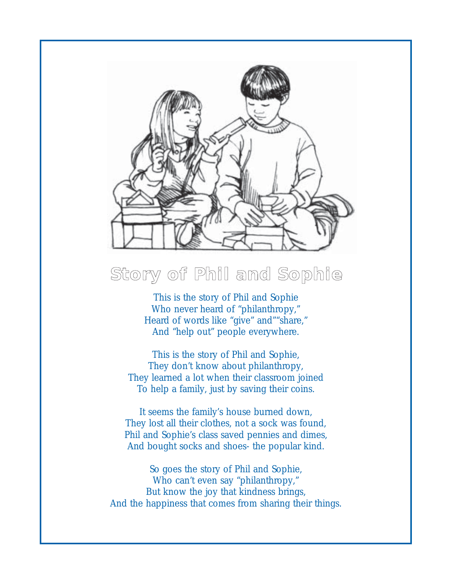

### **Story of Phil and Sophie**

This is the story of Phil and Sophie Who never heard of "philanthropy," Heard of words like "give" and""share," And "help out" people everywhere.

This is the story of Phil and Sophie, They don't know about philanthropy, They learned a lot when their classroom joined To help a family, just by saving their coins.

It seems the family's house burned down, They lost all their clothes, not a sock was found, Phil and Sophie's class saved pennies and dimes, And bought socks and shoes- the popular kind.

So goes the story of Phil and Sophie, Who can't even say "philanthropy," But know the joy that kindness brings, And the happiness that comes from sharing their things.

 $\overline{\phantom{0}}$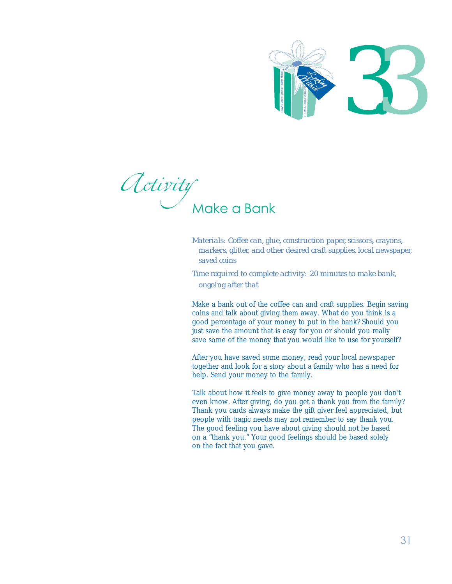

Activity<br>Make a Bank

*Materials: Coffee can, glue, construction paper, scissors, crayons, markers, glitter, and other desired craft supplies, local newspaper, saved coins*

*Time required to complete activity: 20 minutes to make bank, ongoing after that*

Make a bank out of the coffee can and craft supplies. Begin saving coins and talk about giving them away. What do you think is a good percentage of your money to put in the bank? Should you just save the amount that is easy for you or should you really save some of the money that you would like to use for yourself?

After you have saved some money, read your local newspaper together and look for a story about a family who has a need for help. Send your money to the family.

Talk about how it feels to give money away to people you don't even know. After giving, do you get a thank you from the family? Thank you cards always make the gift giver feel appreciated, but people with tragic needs may not remember to say thank you. The good feeling you have about giving should not be based on a "thank you." Your good feelings should be based solely on the fact that you gave.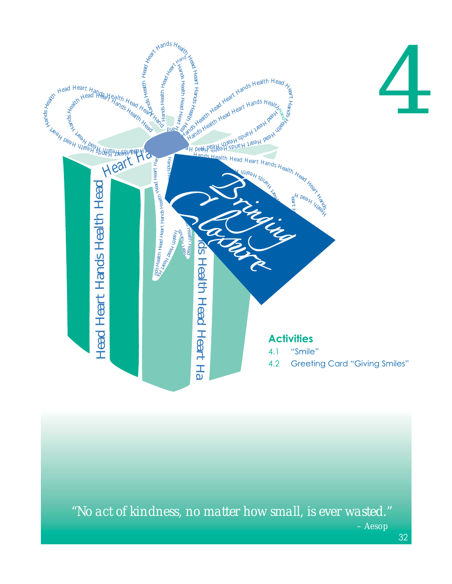

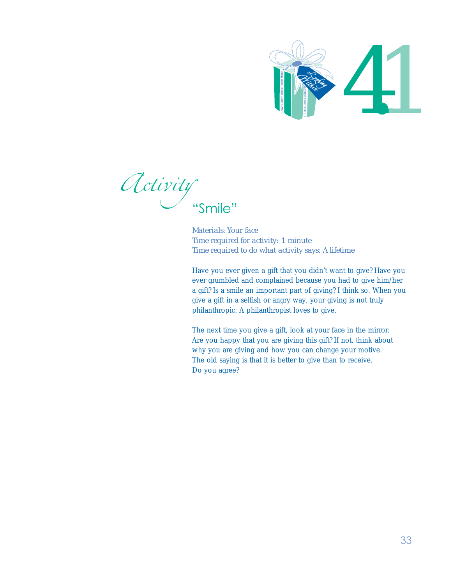

Activity

*Materials: Your face Time required for activity: 1 minute Time required to do what activity says: A lifetime*

Have you ever given a gift that you didn't want to give? Have you ever grumbled and complained because you had to give him/her a gift? Is a smile an important part of giving? I think so. When you give a gift in a selfish or angry way, your giving is not truly philanthropic. A philanthropist loves to give.

The next time you give a gift, look at your face in the mirror. Are you happy that you are giving this gift? If not, think about why you are giving and how you can change your motive. The old saying is that it is better to give than to receive. Do you agree?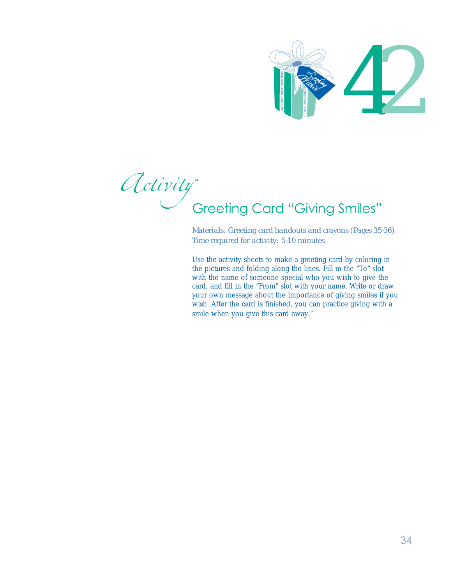

Activity<br>Greeting Card "Giving Smiles"

*Materials: Greeting card handouts and crayons (Pages 35-36) Time required for activity: 5-10 minutes*

Use the activity sheets to make a greeting card by coloring in the pictures and folding along the lines. Fill in the "To" slot with the name of someone special who you wish to give the card, and fill in the "From" slot with your name. Write or draw your own message about the importance of giving smiles if you wish. After the card is finished, you can practice giving with a Since this card is the picture of the card of the picture of the picture of the pictures and folding along the line with the name of someone special with your own message about the important wish. After the card is finishe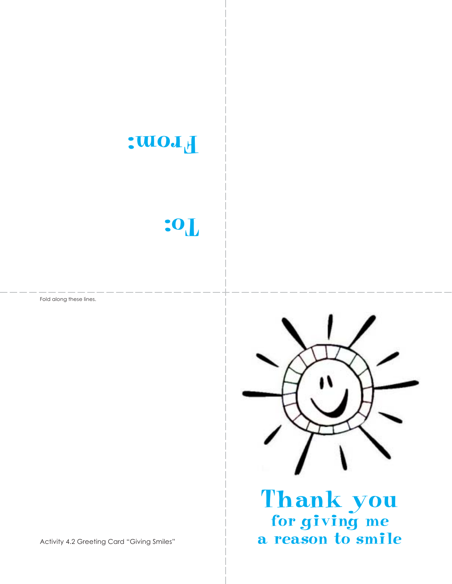

### To:

Fold along these lines.



 $\frac{1}{2}$ Thank you for giving me a reason to smile

Activity 4.2 Greeting Card "Giving Smiles"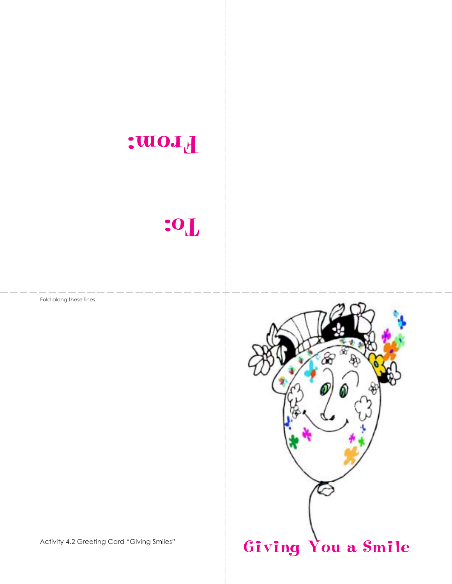

### To:

Fold along these lines.



Activity 4.2 Greeting Card "Giving Smiles"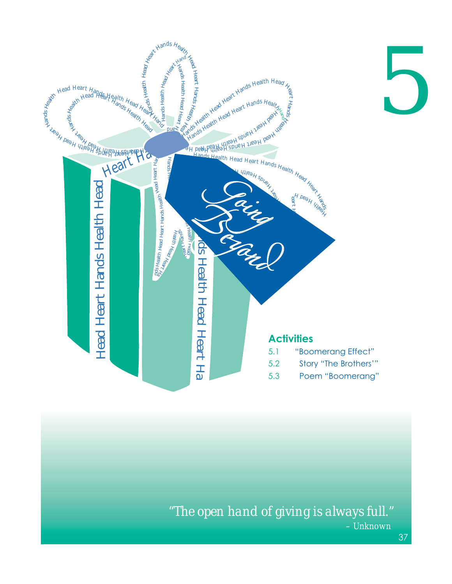

 *"The open hand of giving is always full."* – Unknown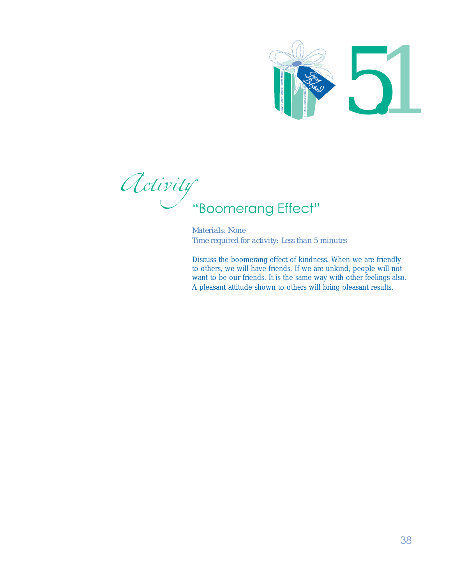

Activity<br>"Boomerang Effect"

*Materials: None Time required for activity: Less than 5 minutes*

Discuss the boomerang effect of kindness. When we are friendly to others, we will have friends. If we are unkind, people will not want to be our friends. It is the same way with other feelings also.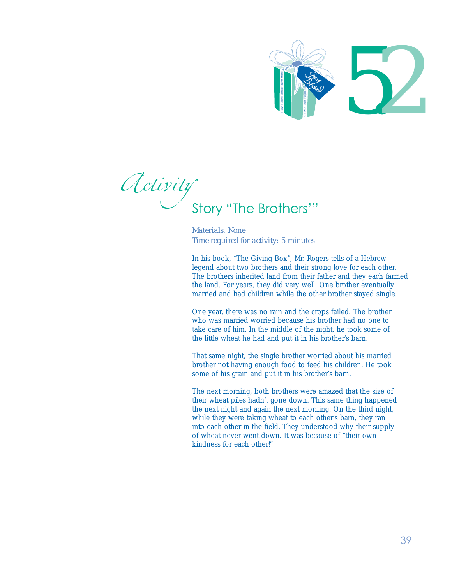

Activity<br>Story "The Brothers'"

*Materials: None Time required for activity: 5 minutes*

In his book, "The Giving Box", Mr. Rogers tells of a Hebrew legend about two brothers and their strong love for each other. The brothers inherited land from their father and they each farmed the land. For years, they did very well. One brother eventually married and had children while the other brother stayed single.

One year, there was no rain and the crops failed. The brother who was married worried because his brother had no one to take care of him. In the middle of the night, he took some of the little wheat he had and put it in his brother's barn.

That same night, the single brother worried about his married brother not having enough food to feed his children. He took some of his grain and put it in his brother's barn.

The next morning, both brothers were amazed that the size of their wheat piles hadn't gone down. This same thing happened the next night and again the next morning. On the third night, while they were taking wheat to each other's barn, they ran into each other in the field. They understood why their supply of wheat never went down. It was because of "their own kindness for each other!"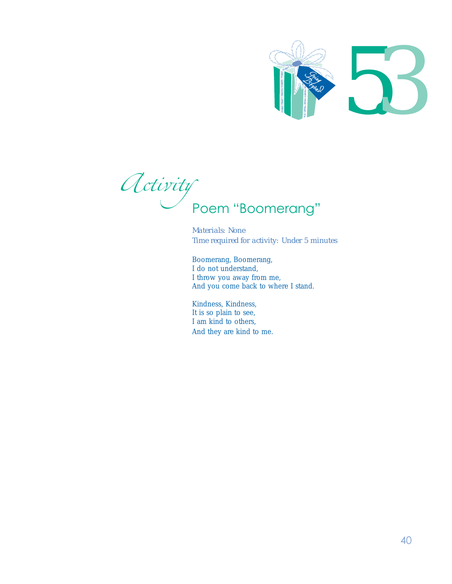

Activity<br>Poem "Boomerang"

*Materials: None Time required for activity: Under 5 minutes*

Boomerang, Boomerang, I do not understand, I throw you away from me, And you come back to where I stand.

Kindness, Kindness, It is so plain to see, I am kind to others, And they are kind to me.